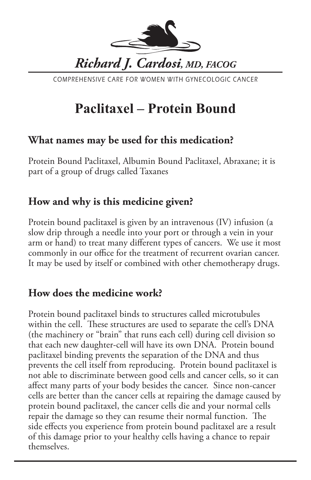

COMPREHENSIVE CARE FOR WOMEN WITH GYNECOLOGIC CANCER

# **Paclitaxel – Protein Bound**

#### **What names may be used for this medication?**

Protein Bound Paclitaxel, Albumin Bound Paclitaxel, Abraxane; it is part of a group of drugs called Taxanes

## **How and why is this medicine given?**

Protein bound paclitaxel is given by an intravenous (IV) infusion (a slow drip through a needle into your port or through a vein in your arm or hand) to treat many different types of cancers. We use it most commonly in our office for the treatment of recurrent ovarian cancer. It may be used by itself or combined with other chemotherapy drugs.

## **How does the medicine work?**

Protein bound paclitaxel binds to structures called microtubules within the cell. These structures are used to separate the cell's DNA (the machinery or "brain" that runs each cell) during cell division so that each new daughter-cell will have its own DNA. Protein bound paclitaxel binding prevents the separation of the DNA and thus prevents the cell itself from reproducing. Protein bound paclitaxel is not able to discriminate between good cells and cancer cells, so it can affect many parts of your body besides the cancer. Since non-cancer cells are better than the cancer cells at repairing the damage caused by protein bound paclitaxel, the cancer cells die and your normal cells repair the damage so they can resume their normal function. The side effects you experience from protein bound paclitaxel are a result of this damage prior to your healthy cells having a chance to repair themselves.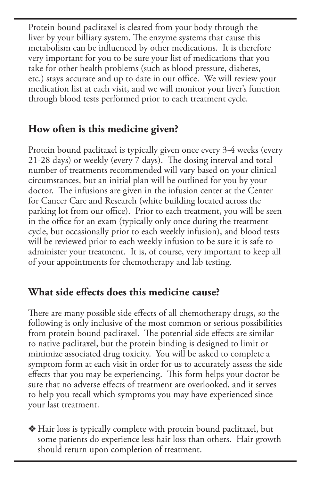Protein bound paclitaxel is cleared from your body through the liver by your billiary system. The enzyme systems that cause this metabolism can be influenced by other medications. It is therefore very important for you to be sure your list of medications that you take for other health problems (such as blood pressure, diabetes, etc.) stays accurate and up to date in our office. We will review your medication list at each visit, and we will monitor your liver's function through blood tests performed prior to each treatment cycle.

## **How often is this medicine given?**

Protein bound paclitaxel is typically given once every 3-4 weeks (every 21-28 days) or weekly (every 7 days). The dosing interval and total number of treatments recommended will vary based on your clinical circumstances, but an initial plan will be outlined for you by your doctor. The infusions are given in the infusion center at the Center for Cancer Care and Research (white building located across the parking lot from our office). Prior to each treatment, you will be seen in the office for an exam (typically only once during the treatment cycle, but occasionally prior to each weekly infusion), and blood tests will be reviewed prior to each weekly infusion to be sure it is safe to administer your treatment. It is, of course, very important to keep all of your appointments for chemotherapy and lab testing.

#### **What side effects does this medicine cause?**

There are many possible side effects of all chemotherapy drugs, so the following is only inclusive of the most common or serious possibilities from protein bound paclitaxel. The potential side effects are similar to native paclitaxel, but the protein binding is designed to limit or minimize associated drug toxicity. You will be asked to complete a symptom form at each visit in order for us to accurately assess the side effects that you may be experiencing. This form helps your doctor be sure that no adverse effects of treatment are overlooked, and it serves to help you recall which symptoms you may have experienced since your last treatment.

v Hair loss is typically complete with protein bound paclitaxel, but some patients do experience less hair loss than others. Hair growth should return upon completion of treatment.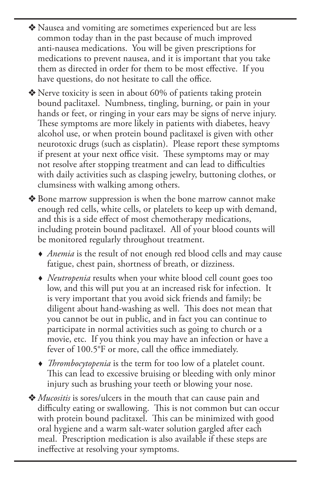- v Nausea and vomiting are sometimes experienced but are less common today than in the past because of much improved anti-nausea medications. You will be given prescriptions for medications to prevent nausea, and it is important that you take them as directed in order for them to be most effective. If you have questions, do not hesitate to call the office.
- v Nerve toxicity is seen in about 60% of patients taking protein bound paclitaxel. Numbness, tingling, burning, or pain in your hands or feet, or ringing in your ears may be signs of nerve injury. These symptoms are more likely in patients with diabetes, heavy alcohol use, or when protein bound paclitaxel is given with other neurotoxic drugs (such as cisplatin). Please report these symptoms if present at your next office visit. These symptoms may or may not resolve after stopping treatment and can lead to difficulties with daily activities such as clasping jewelry, buttoning clothes, or clumsiness with walking among others.
- v Bone marrow suppression is when the bone marrow cannot make enough red cells, white cells, or platelets to keep up with demand, and this is a side effect of most chemotherapy medications, including protein bound paclitaxel. All of your blood counts will be monitored regularly throughout treatment.
	- *Anemia* is the result of not enough red blood cells and may cause fatigue, chest pain, shortness of breath, or dizziness.
	- *Neutropenia* results when your white blood cell count goes too low, and this will put you at an increased risk for infection. It is very important that you avoid sick friends and family; be diligent about hand-washing as well. This does not mean that you cannot be out in public, and in fact you can continue to participate in normal activities such as going to church or a movie, etc. If you think you may have an infection or have a fever of 100.5°F or more, call the office immediately.
	- *Thrombocytopenia* is the term for too low of a platelet count. This can lead to excessive bruising or bleeding with only minor injury such as brushing your teeth or blowing your nose.
- v *Mucositis* is sores/ulcers in the mouth that can cause pain and difficulty eating or swallowing. This is not common but can occur with protein bound paclitaxel. This can be minimized with good oral hygiene and a warm salt-water solution gargled after each meal. Prescription medication is also available if these steps are ineffective at resolving your symptoms.